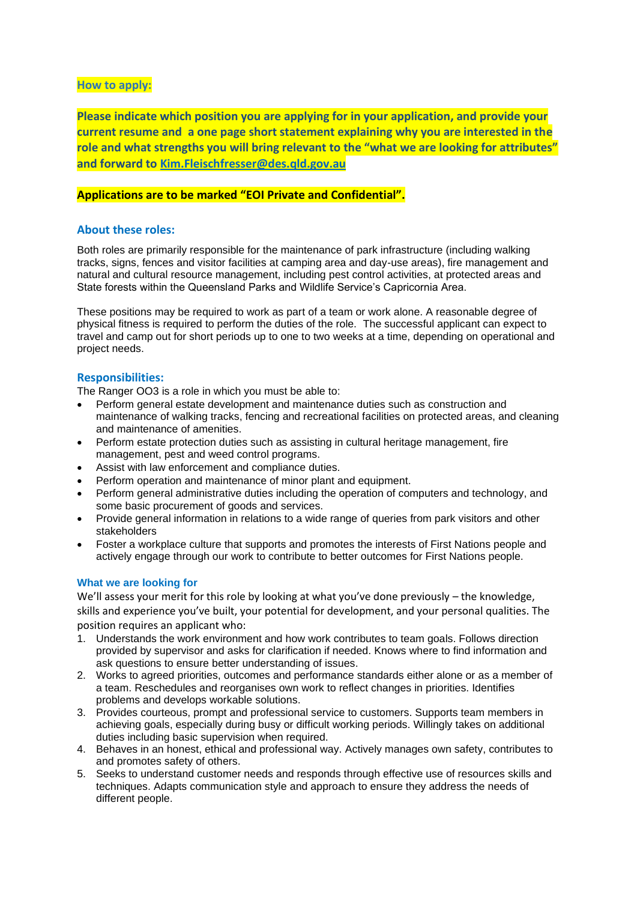# **How to apply:**

**Please indicate which position you are applying for in your application, and provide your current resume and a one page short statement explaining why you are interested in the role and what strengths you will bring relevant to the "what we are looking for attributes" and forward to [Kim.Fleischfresser@des.qld.gov.au](mailto:Kim.Fleischfresser@des.qld.gov.au)**

# **Applications are to be marked "EOI Private and Confidential".**

## **About these roles:**

Both roles are primarily responsible for the maintenance of park infrastructure (including walking tracks, signs, fences and visitor facilities at camping area and day-use areas), fire management and natural and cultural resource management, including pest control activities, at protected areas and State forests within the Queensland Parks and Wildlife Service's Capricornia Area.

These positions may be required to work as part of a team or work alone. A reasonable degree of physical fitness is required to perform the duties of the role. The successful applicant can expect to travel and camp out for short periods up to one to two weeks at a time, depending on operational and project needs.

# **Responsibilities:**

The Ranger OO3 is a role in which you must be able to:

- Perform general estate development and maintenance duties such as construction and maintenance of walking tracks, fencing and recreational facilities on protected areas, and cleaning and maintenance of amenities.
- Perform estate protection duties such as assisting in cultural heritage management, fire management, pest and weed control programs.
- Assist with law enforcement and compliance duties.
- Perform operation and maintenance of minor plant and equipment.
- Perform general administrative duties including the operation of computers and technology, and some basic procurement of goods and services.
- Provide general information in relations to a wide range of queries from park visitors and other stakeholders
- Foster a workplace culture that supports and promotes the interests of First Nations people and actively engage through our work to contribute to better outcomes for First Nations people.

## **What we are looking for**

We'll assess your merit for this role by looking at what you've done previously – the knowledge, skills and experience you've built, your potential for development, and your personal qualities. The position requires an applicant who:

- 1. Understands the work environment and how work contributes to team goals. Follows direction provided by supervisor and asks for clarification if needed. Knows where to find information and ask questions to ensure better understanding of issues.
- 2. Works to agreed priorities, outcomes and performance standards either alone or as a member of a team. Reschedules and reorganises own work to reflect changes in priorities. Identifies problems and develops workable solutions.
- 3. Provides courteous, prompt and professional service to customers. Supports team members in achieving goals, especially during busy or difficult working periods. Willingly takes on additional duties including basic supervision when required.
- 4. Behaves in an honest, ethical and professional way. Actively manages own safety, contributes to and promotes safety of others.
- 5. Seeks to understand customer needs and responds through effective use of resources skills and techniques. Adapts communication style and approach to ensure they address the needs of different people.